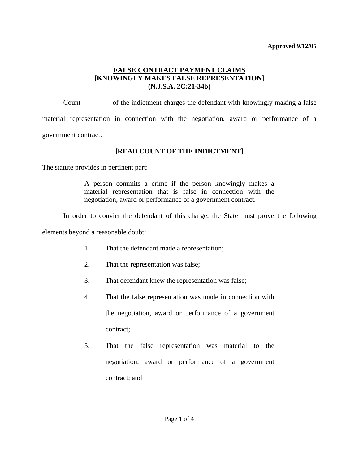Count only of the indictment charges the defendant with knowingly making a false material representation in connection with the negotiation, award or performance of a government contract.

## **[READ COUNT OF THE INDICTMENT]**

The statute provides in pertinent part:

A person commits a crime if the person knowingly makes a material representation that is false in connection with the negotiation, award or performance of a government contract.

In order to convict the defendant of this charge, the State must prove the following

elements beyond a reasonable doubt:

- 1. That the defendant made a representation;
- 2. That the representation was false;
- 3. That defendant knew the representation was false;
- 4. That the false representation was made in connection with the negotiation, award or performance of a government contract;
- <span id="page-0-0"></span>5. That the false representation was material to the negotiation, award or performance of a government contract; and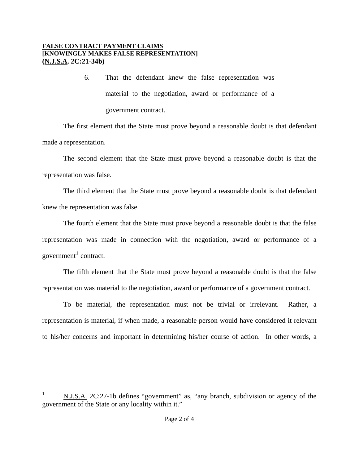6. That the defendant knew the false representation was material to the negotiation, award or performance of a government contract.

The first element that the State must prove beyond a reasonable doubt is that defendant made a representation.

The second element that the State must prove beyond a reasonable doubt is that the representation was false.

The third element that the State must prove beyond a reasonable doubt is that defendant knew the representation was false.

The fourth element that the State must prove beyond a reasonable doubt is that the false representation was made in connection with the negotiation, award or performance of a government $<sup>1</sup>$  $<sup>1</sup>$  $<sup>1</sup>$  contract.</sup>

The fifth element that the State must prove beyond a reasonable doubt is that the false representation was material to the negotiation, award or performance of a government contract.

To be material, the representation must not be trivial or irrelevant. Rather, a representation is material, if when made, a reasonable person would have considered it relevant to his/her concerns and important in determining his/her course of action. In other words, a

<span id="page-1-0"></span> $\overline{a}$ N.J.S.A. 2C:27-1b defines "government" as, "any branch, subdivision or agency of the government of the State or any locality within it."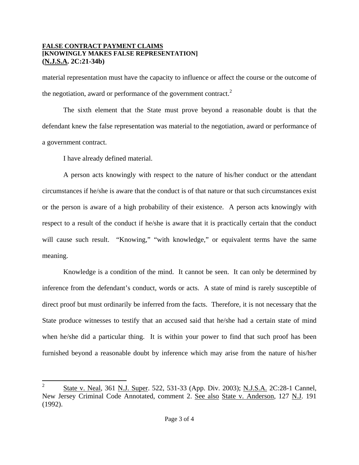material representation must have the capacity to influence or affect the course or the outcome of the negotiation, award or performance of the government contract. $2^2$  $2^2$ 

The sixth element that the State must prove beyond a reasonable doubt is that the defendant knew the false representation was material to the negotiation, award or performance of a government contract.

I have already defined material.

 $\overline{a}$ 

A person acts knowingly with respect to the nature of his/her conduct or the attendant circumstances if he/she is aware that the conduct is of that nature or that such circumstances exist or the person is aware of a high probability of their existence. A person acts knowingly with respect to a result of the conduct if he/she is aware that it is practically certain that the conduct will cause such result. "Knowing," "with knowledge," or equivalent terms have the same meaning.

Knowledge is a condition of the mind. It cannot be seen. It can only be determined by inference from the defendant's conduct, words or acts. A state of mind is rarely susceptible of direct proof but must ordinarily be inferred from the facts. Therefore, it is not necessary that the State produce witnesses to testify that an accused said that he/she had a certain state of mind when he/she did a particular thing. It is within your power to find that such proof has been furnished beyond a reasonable doubt by inference which may arise from the nature of his/her

<sup>&</sup>lt;sup>2</sup> State v. Neal, 361 N.J. Super. 522, 531-33 (App. Div. 2003); N.J.S.A. 2C:28-1 Cannel, New Jersey Criminal Code Annotated, comment 2. See also State v. Anderson, 127 N.J. 191 (1992).